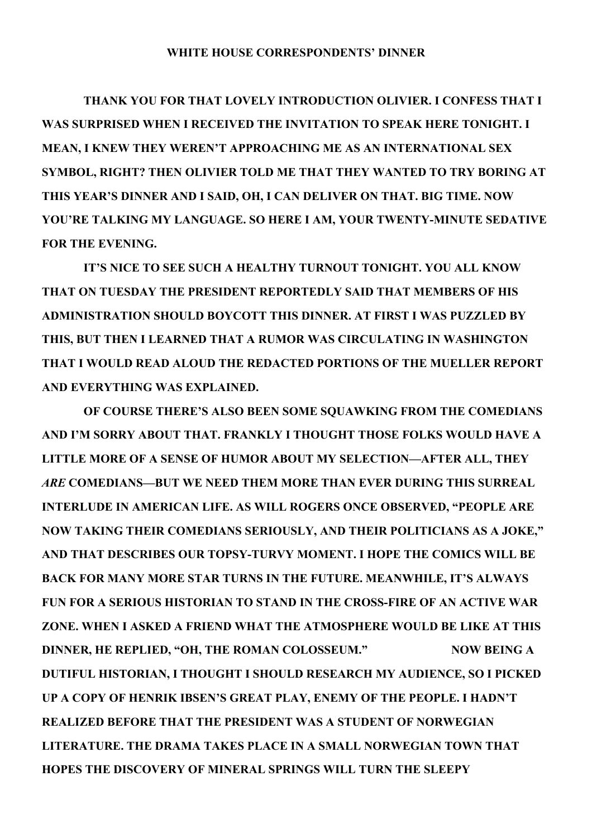## **WHITE HOUSE CORRESPONDENTS' DINNER**

 **THANK YOU FOR THAT LOVELY INTRODUCTION OLIVIER. I CONFESS THAT I WAS SURPRISED WHEN I RECEIVED THE INVITATION TO SPEAK HERE TONIGHT. I MEAN, I KNEW THEY WEREN'T APPROACHING ME AS AN INTERNATIONAL SEX SYMBOL, RIGHT? THEN OLIVIER TOLD ME THAT THEY WANTED TO TRY BORING AT THIS YEAR'S DINNER AND I SAID, OH, I CAN DELIVER ON THAT. BIG TIME. NOW YOU'RE TALKING MY LANGUAGE. SO HERE I AM, YOUR TWENTY-MINUTE SEDATIVE FOR THE EVENING.**

 **IT'S NICE TO SEE SUCH A HEALTHY TURNOUT TONIGHT. YOU ALL KNOW THAT ON TUESDAY THE PRESIDENT REPORTEDLY SAID THAT MEMBERS OF HIS ADMINISTRATION SHOULD BOYCOTT THIS DINNER. AT FIRST I WAS PUZZLED BY THIS, BUT THEN I LEARNED THAT A RUMOR WAS CIRCULATING IN WASHINGTON THAT I WOULD READ ALOUD THE REDACTED PORTIONS OF THE MUELLER REPORT AND EVERYTHING WAS EXPLAINED.**

 **OF COURSE THERE'S ALSO BEEN SOME SQUAWKING FROM THE COMEDIANS AND I'M SORRY ABOUT THAT. FRANKLY I THOUGHT THOSE FOLKS WOULD HAVE A LITTLE MORE OF A SENSE OF HUMOR ABOUT MY SELECTION—AFTER ALL, THEY** *ARE* **COMEDIANS***—***BUT WE NEED THEM MORE THAN EVER DURING THIS SURREAL INTERLUDE IN AMERICAN LIFE. AS WILL ROGERS ONCE OBSERVED, "PEOPLE ARE NOW TAKING THEIR COMEDIANS SERIOUSLY, AND THEIR POLITICIANS AS A JOKE," AND THAT DESCRIBES OUR TOPSY-TURVY MOMENT. I HOPE THE COMICS WILL BE BACK FOR MANY MORE STAR TURNS IN THE FUTURE. MEANWHILE, IT'S ALWAYS FUN FOR A SERIOUS HISTORIAN TO STAND IN THE CROSS-FIRE OF AN ACTIVE WAR ZONE. WHEN I ASKED A FRIEND WHAT THE ATMOSPHERE WOULD BE LIKE AT THIS DINNER, HE REPLIED, "OH, THE ROMAN COLOSSEUM." NOW BEING A DUTIFUL HISTORIAN, I THOUGHT I SHOULD RESEARCH MY AUDIENCE, SO I PICKED UP A COPY OF HENRIK IBSEN'S GREAT PLAY, ENEMY OF THE PEOPLE. I HADN'T REALIZED BEFORE THAT THE PRESIDENT WAS A STUDENT OF NORWEGIAN LITERATURE. THE DRAMA TAKES PLACE IN A SMALL NORWEGIAN TOWN THAT HOPES THE DISCOVERY OF MINERAL SPRINGS WILL TURN THE SLEEPY**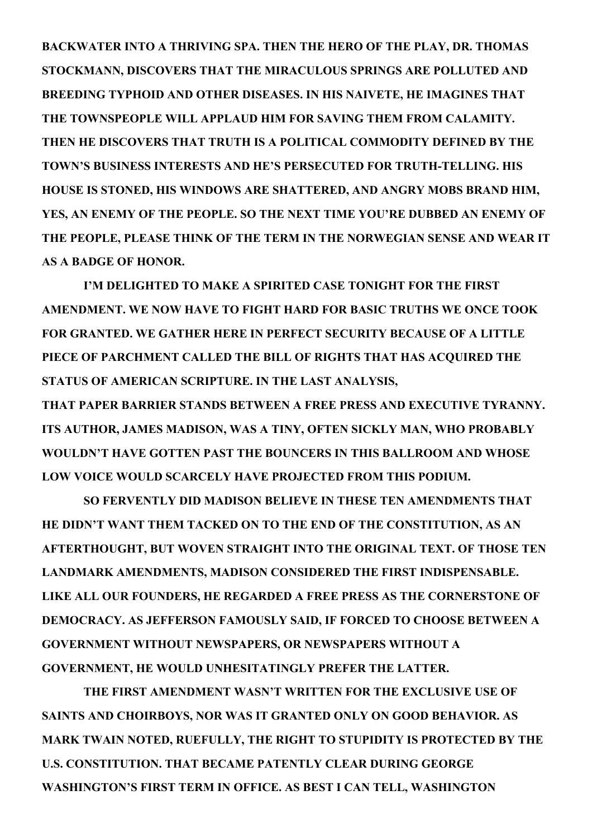**BACKWATER INTO A THRIVING SPA. THEN THE HERO OF THE PLAY, DR. THOMAS STOCKMANN, DISCOVERS THAT THE MIRACULOUS SPRINGS ARE POLLUTED AND BREEDING TYPHOID AND OTHER DISEASES. IN HIS NAIVETE, HE IMAGINES THAT THE TOWNSPEOPLE WILL APPLAUD HIM FOR SAVING THEM FROM CALAMITY. THEN HE DISCOVERS THAT TRUTH IS A POLITICAL COMMODITY DEFINED BY THE TOWN'S BUSINESS INTERESTS AND HE'S PERSECUTED FOR TRUTH-TELLING. HIS HOUSE IS STONED, HIS WINDOWS ARE SHATTERED, AND ANGRY MOBS BRAND HIM, YES, AN ENEMY OF THE PEOPLE. SO THE NEXT TIME YOU'RE DUBBED AN ENEMY OF THE PEOPLE, PLEASE THINK OF THE TERM IN THE NORWEGIAN SENSE AND WEAR IT AS A BADGE OF HONOR.** 

 **I'M DELIGHTED TO MAKE A SPIRITED CASE TONIGHT FOR THE FIRST AMENDMENT. WE NOW HAVE TO FIGHT HARD FOR BASIC TRUTHS WE ONCE TOOK FOR GRANTED. WE GATHER HERE IN PERFECT SECURITY BECAUSE OF A LITTLE PIECE OF PARCHMENT CALLED THE BILL OF RIGHTS THAT HAS ACQUIRED THE STATUS OF AMERICAN SCRIPTURE. IN THE LAST ANALYSIS,**

**THAT PAPER BARRIER STANDS BETWEEN A FREE PRESS AND EXECUTIVE TYRANNY. ITS AUTHOR, JAMES MADISON, WAS A TINY, OFTEN SICKLY MAN, WHO PROBABLY WOULDN'T HAVE GOTTEN PAST THE BOUNCERS IN THIS BALLROOM AND WHOSE LOW VOICE WOULD SCARCELY HAVE PROJECTED FROM THIS PODIUM.**

 **SO FERVENTLY DID MADISON BELIEVE IN THESE TEN AMENDMENTS THAT HE DIDN'T WANT THEM TACKED ON TO THE END OF THE CONSTITUTION, AS AN AFTERTHOUGHT, BUT WOVEN STRAIGHT INTO THE ORIGINAL TEXT. OF THOSE TEN LANDMARK AMENDMENTS, MADISON CONSIDERED THE FIRST INDISPENSABLE. LIKE ALL OUR FOUNDERS, HE REGARDED A FREE PRESS AS THE CORNERSTONE OF DEMOCRACY. AS JEFFERSON FAMOUSLY SAID, IF FORCED TO CHOOSE BETWEEN A GOVERNMENT WITHOUT NEWSPAPERS, OR NEWSPAPERS WITHOUT A GOVERNMENT, HE WOULD UNHESITATINGLY PREFER THE LATTER.**

 **THE FIRST AMENDMENT WASN'T WRITTEN FOR THE EXCLUSIVE USE OF SAINTS AND CHOIRBOYS, NOR WAS IT GRANTED ONLY ON GOOD BEHAVIOR. AS MARK TWAIN NOTED, RUEFULLY, THE RIGHT TO STUPIDITY IS PROTECTED BY THE U.S. CONSTITUTION. THAT BECAME PATENTLY CLEAR DURING GEORGE WASHINGTON'S FIRST TERM IN OFFICE. AS BEST I CAN TELL, WASHINGTON**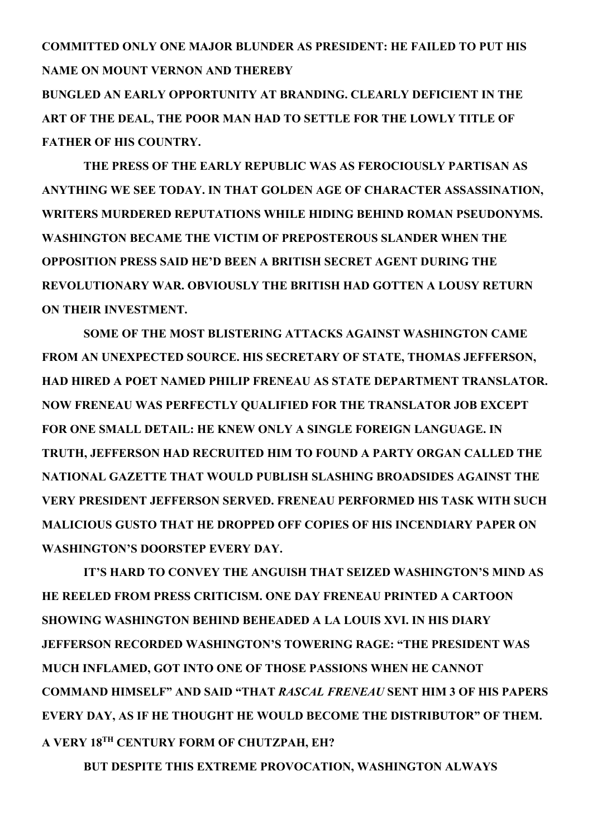**COMMITTED ONLY ONE MAJOR BLUNDER AS PRESIDENT: HE FAILED TO PUT HIS NAME ON MOUNT VERNON AND THEREBY**

**BUNGLED AN EARLY OPPORTUNITY AT BRANDING. CLEARLY DEFICIENT IN THE ART OF THE DEAL, THE POOR MAN HAD TO SETTLE FOR THE LOWLY TITLE OF FATHER OF HIS COUNTRY.**

 **THE PRESS OF THE EARLY REPUBLIC WAS AS FEROCIOUSLY PARTISAN AS ANYTHING WE SEE TODAY. IN THAT GOLDEN AGE OF CHARACTER ASSASSINATION, WRITERS MURDERED REPUTATIONS WHILE HIDING BEHIND ROMAN PSEUDONYMS. WASHINGTON BECAME THE VICTIM OF PREPOSTEROUS SLANDER WHEN THE OPPOSITION PRESS SAID HE'D BEEN A BRITISH SECRET AGENT DURING THE REVOLUTIONARY WAR. OBVIOUSLY THE BRITISH HAD GOTTEN A LOUSY RETURN ON THEIR INVESTMENT.**

 **SOME OF THE MOST BLISTERING ATTACKS AGAINST WASHINGTON CAME FROM AN UNEXPECTED SOURCE. HIS SECRETARY OF STATE, THOMAS JEFFERSON, HAD HIRED A POET NAMED PHILIP FRENEAU AS STATE DEPARTMENT TRANSLATOR. NOW FRENEAU WAS PERFECTLY QUALIFIED FOR THE TRANSLATOR JOB EXCEPT FOR ONE SMALL DETAIL: HE KNEW ONLY A SINGLE FOREIGN LANGUAGE. IN TRUTH, JEFFERSON HAD RECRUITED HIM TO FOUND A PARTY ORGAN CALLED THE NATIONAL GAZETTE THAT WOULD PUBLISH SLASHING BROADSIDES AGAINST THE VERY PRESIDENT JEFFERSON SERVED. FRENEAU PERFORMED HIS TASK WITH SUCH MALICIOUS GUSTO THAT HE DROPPED OFF COPIES OF HIS INCENDIARY PAPER ON WASHINGTON'S DOORSTEP EVERY DAY.**

 **IT'S HARD TO CONVEY THE ANGUISH THAT SEIZED WASHINGTON'S MIND AS HE REELED FROM PRESS CRITICISM. ONE DAY FRENEAU PRINTED A CARTOON SHOWING WASHINGTON BEHIND BEHEADED A LA LOUIS XVI. IN HIS DIARY JEFFERSON RECORDED WASHINGTON'S TOWERING RAGE: "THE PRESIDENT WAS MUCH INFLAMED, GOT INTO ONE OF THOSE PASSIONS WHEN HE CANNOT COMMAND HIMSELF" AND SAID "THAT** *RASCAL FRENEAU* **SENT HIM 3 OF HIS PAPERS EVERY DAY, AS IF HE THOUGHT HE WOULD BECOME THE DISTRIBUTOR" OF THEM. A VERY 18TH CENTURY FORM OF CHUTZPAH, EH?**

 **BUT DESPITE THIS EXTREME PROVOCATION, WASHINGTON ALWAYS**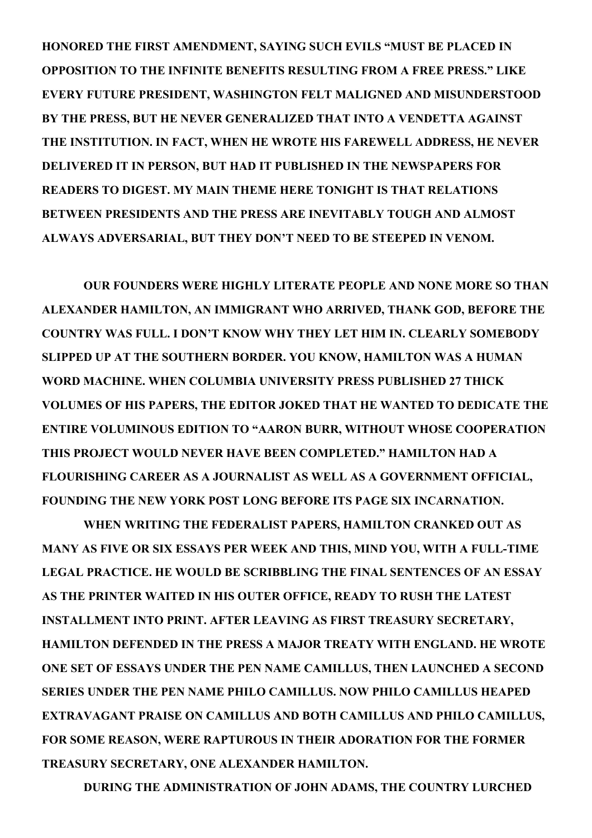**HONORED THE FIRST AMENDMENT, SAYING SUCH EVILS "MUST BE PLACED IN OPPOSITION TO THE INFINITE BENEFITS RESULTING FROM A FREE PRESS." LIKE EVERY FUTURE PRESIDENT, WASHINGTON FELT MALIGNED AND MISUNDERSTOOD BY THE PRESS, BUT HE NEVER GENERALIZED THAT INTO A VENDETTA AGAINST THE INSTITUTION. IN FACT, WHEN HE WROTE HIS FAREWELL ADDRESS, HE NEVER DELIVERED IT IN PERSON, BUT HAD IT PUBLISHED IN THE NEWSPAPERS FOR READERS TO DIGEST. MY MAIN THEME HERE TONIGHT IS THAT RELATIONS BETWEEN PRESIDENTS AND THE PRESS ARE INEVITABLY TOUGH AND ALMOST ALWAYS ADVERSARIAL, BUT THEY DON'T NEED TO BE STEEPED IN VENOM.** 

 **OUR FOUNDERS WERE HIGHLY LITERATE PEOPLE AND NONE MORE SO THAN ALEXANDER HAMILTON, AN IMMIGRANT WHO ARRIVED, THANK GOD, BEFORE THE COUNTRY WAS FULL. I DON'T KNOW WHY THEY LET HIM IN. CLEARLY SOMEBODY SLIPPED UP AT THE SOUTHERN BORDER. YOU KNOW, HAMILTON WAS A HUMAN WORD MACHINE. WHEN COLUMBIA UNIVERSITY PRESS PUBLISHED 27 THICK VOLUMES OF HIS PAPERS, THE EDITOR JOKED THAT HE WANTED TO DEDICATE THE ENTIRE VOLUMINOUS EDITION TO "AARON BURR, WITHOUT WHOSE COOPERATION THIS PROJECT WOULD NEVER HAVE BEEN COMPLETED." HAMILTON HAD A FLOURISHING CAREER AS A JOURNALIST AS WELL AS A GOVERNMENT OFFICIAL, FOUNDING THE NEW YORK POST LONG BEFORE ITS PAGE SIX INCARNATION.**

 **WHEN WRITING THE FEDERALIST PAPERS, HAMILTON CRANKED OUT AS MANY AS FIVE OR SIX ESSAYS PER WEEK AND THIS, MIND YOU, WITH A FULL-TIME LEGAL PRACTICE. HE WOULD BE SCRIBBLING THE FINAL SENTENCES OF AN ESSAY AS THE PRINTER WAITED IN HIS OUTER OFFICE, READY TO RUSH THE LATEST INSTALLMENT INTO PRINT. AFTER LEAVING AS FIRST TREASURY SECRETARY, HAMILTON DEFENDED IN THE PRESS A MAJOR TREATY WITH ENGLAND. HE WROTE ONE SET OF ESSAYS UNDER THE PEN NAME CAMILLUS, THEN LAUNCHED A SECOND SERIES UNDER THE PEN NAME PHILO CAMILLUS. NOW PHILO CAMILLUS HEAPED EXTRAVAGANT PRAISE ON CAMILLUS AND BOTH CAMILLUS AND PHILO CAMILLUS, FOR SOME REASON, WERE RAPTUROUS IN THEIR ADORATION FOR THE FORMER TREASURY SECRETARY, ONE ALEXANDER HAMILTON.** 

 **DURING THE ADMINISTRATION OF JOHN ADAMS, THE COUNTRY LURCHED**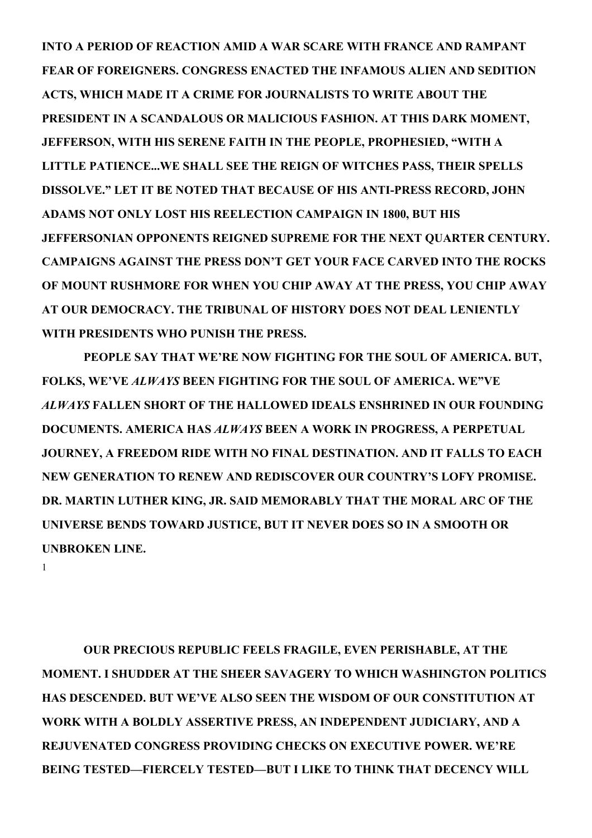**INTO A PERIOD OF REACTION AMID A WAR SCARE WITH FRANCE AND RAMPANT FEAR OF FOREIGNERS. CONGRESS ENACTED THE INFAMOUS ALIEN AND SEDITION ACTS, WHICH MADE IT A CRIME FOR JOURNALISTS TO WRITE ABOUT THE PRESIDENT IN A SCANDALOUS OR MALICIOUS FASHION. AT THIS DARK MOMENT, JEFFERSON, WITH HIS SERENE FAITH IN THE PEOPLE, PROPHESIED, "WITH A LITTLE PATIENCE...WE SHALL SEE THE REIGN OF WITCHES PASS, THEIR SPELLS DISSOLVE." LET IT BE NOTED THAT BECAUSE OF HIS ANTI-PRESS RECORD, JOHN ADAMS NOT ONLY LOST HIS REELECTION CAMPAIGN IN 1800, BUT HIS JEFFERSONIAN OPPONENTS REIGNED SUPREME FOR THE NEXT QUARTER CENTURY. CAMPAIGNS AGAINST THE PRESS DON'T GET YOUR FACE CARVED INTO THE ROCKS OF MOUNT RUSHMORE FOR WHEN YOU CHIP AWAY AT THE PRESS, YOU CHIP AWAY AT OUR DEMOCRACY. THE TRIBUNAL OF HISTORY DOES NOT DEAL LENIENTLY WITH PRESIDENTS WHO PUNISH THE PRESS.**

 **PEOPLE SAY THAT WE'RE NOW FIGHTING FOR THE SOUL OF AMERICA. BUT, FOLKS, WE'VE** *ALWAYS* **BEEN FIGHTING FOR THE SOUL OF AMERICA. WE"VE** *ALWAYS* **FALLEN SHORT OF THE HALLOWED IDEALS ENSHRINED IN OUR FOUNDING DOCUMENTS. AMERICA HAS** *ALWAYS* **BEEN A WORK IN PROGRESS, A PERPETUAL JOURNEY, A FREEDOM RIDE WITH NO FINAL DESTINATION. AND IT FALLS TO EACH NEW GENERATION TO RENEW AND REDISCOVER OUR COUNTRY'S LOFY PROMISE. DR. MARTIN LUTHER KING, JR. SAID MEMORABLY THAT THE MORAL ARC OF THE UNIVERSE BENDS TOWARD JUSTICE, BUT IT NEVER DOES SO IN A SMOOTH OR UNBROKEN LINE.** 

1

 **OUR PRECIOUS REPUBLIC FEELS FRAGILE, EVEN PERISHABLE, AT THE MOMENT. I SHUDDER AT THE SHEER SAVAGERY TO WHICH WASHINGTON POLITICS HAS DESCENDED. BUT WE'VE ALSO SEEN THE WISDOM OF OUR CONSTITUTION AT WORK WITH A BOLDLY ASSERTIVE PRESS, AN INDEPENDENT JUDICIARY, AND A REJUVENATED CONGRESS PROVIDING CHECKS ON EXECUTIVE POWER. WE'RE BEING TESTED—FIERCELY TESTED—BUT I LIKE TO THINK THAT DECENCY WILL**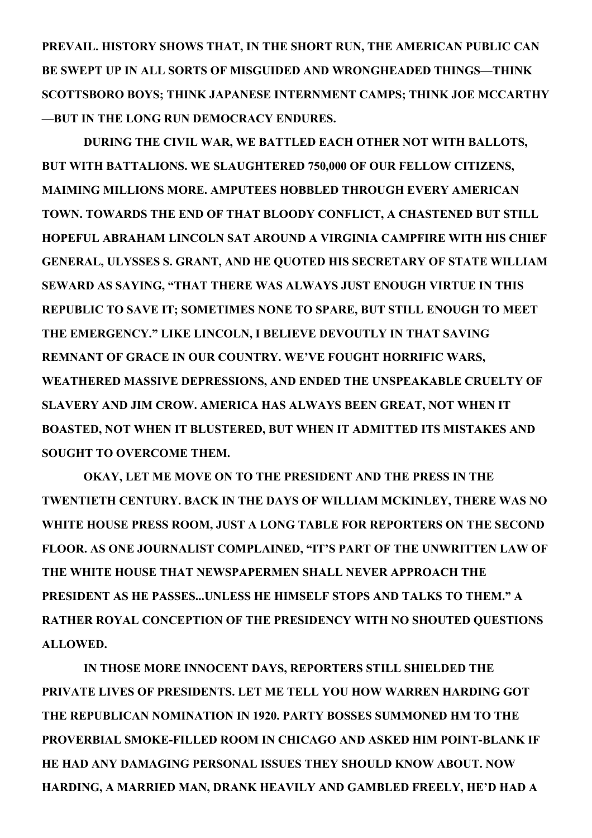**PREVAIL. HISTORY SHOWS THAT, IN THE SHORT RUN, THE AMERICAN PUBLIC CAN BE SWEPT UP IN ALL SORTS OF MISGUIDED AND WRONGHEADED THINGS—THINK SCOTTSBORO BOYS; THINK JAPANESE INTERNMENT CAMPS; THINK JOE MCCARTHY —BUT IN THE LONG RUN DEMOCRACY ENDURES.** 

 **DURING THE CIVIL WAR, WE BATTLED EACH OTHER NOT WITH BALLOTS, BUT WITH BATTALIONS. WE SLAUGHTERED 750,000 OF OUR FELLOW CITIZENS, MAIMING MILLIONS MORE. AMPUTEES HOBBLED THROUGH EVERY AMERICAN TOWN. TOWARDS THE END OF THAT BLOODY CONFLICT, A CHASTENED BUT STILL HOPEFUL ABRAHAM LINCOLN SAT AROUND A VIRGINIA CAMPFIRE WITH HIS CHIEF GENERAL, ULYSSES S. GRANT, AND HE QUOTED HIS SECRETARY OF STATE WILLIAM SEWARD AS SAYING, "THAT THERE WAS ALWAYS JUST ENOUGH VIRTUE IN THIS REPUBLIC TO SAVE IT; SOMETIMES NONE TO SPARE, BUT STILL ENOUGH TO MEET THE EMERGENCY." LIKE LINCOLN, I BELIEVE DEVOUTLY IN THAT SAVING REMNANT OF GRACE IN OUR COUNTRY. WE'VE FOUGHT HORRIFIC WARS, WEATHERED MASSIVE DEPRESSIONS, AND ENDED THE UNSPEAKABLE CRUELTY OF SLAVERY AND JIM CROW. AMERICA HAS ALWAYS BEEN GREAT, NOT WHEN IT BOASTED, NOT WHEN IT BLUSTERED, BUT WHEN IT ADMITTED ITS MISTAKES AND SOUGHT TO OVERCOME THEM.**

 **OKAY, LET ME MOVE ON TO THE PRESIDENT AND THE PRESS IN THE TWENTIETH CENTURY. BACK IN THE DAYS OF WILLIAM MCKINLEY, THERE WAS NO WHITE HOUSE PRESS ROOM, JUST A LONG TABLE FOR REPORTERS ON THE SECOND FLOOR. AS ONE JOURNALIST COMPLAINED, "IT'S PART OF THE UNWRITTEN LAW OF THE WHITE HOUSE THAT NEWSPAPERMEN SHALL NEVER APPROACH THE PRESIDENT AS HE PASSES...UNLESS HE HIMSELF STOPS AND TALKS TO THEM." A RATHER ROYAL CONCEPTION OF THE PRESIDENCY WITH NO SHOUTED QUESTIONS ALLOWED.**

 **IN THOSE MORE INNOCENT DAYS, REPORTERS STILL SHIELDED THE PRIVATE LIVES OF PRESIDENTS. LET ME TELL YOU HOW WARREN HARDING GOT THE REPUBLICAN NOMINATION IN 1920. PARTY BOSSES SUMMONED HM TO THE PROVERBIAL SMOKE-FILLED ROOM IN CHICAGO AND ASKED HIM POINT-BLANK IF HE HAD ANY DAMAGING PERSONAL ISSUES THEY SHOULD KNOW ABOUT. NOW HARDING, A MARRIED MAN, DRANK HEAVILY AND GAMBLED FREELY, HE'D HAD A**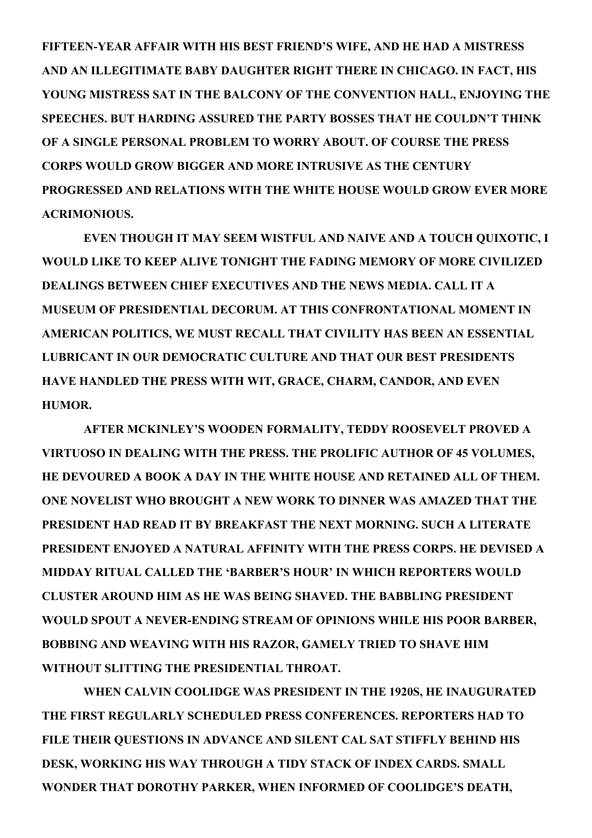**FIFTEEN-YEAR AFFAIR WITH HIS BEST FRIEND'S WIFE, AND HE HAD A MISTRESS AND AN ILLEGITIMATE BABY DAUGHTER RIGHT THERE IN CHICAGO. IN FACT, HIS YOUNG MISTRESS SAT IN THE BALCONY OF THE CONVENTION HALL, ENJOYING THE SPEECHES. BUT HARDING ASSURED THE PARTY BOSSES THAT HE COULDN'T THINK OF A SINGLE PERSONAL PROBLEM TO WORRY ABOUT. OF COURSE THE PRESS CORPS WOULD GROW BIGGER AND MORE INTRUSIVE AS THE CENTURY PROGRESSED AND RELATIONS WITH THE WHITE HOUSE WOULD GROW EVER MORE ACRIMONIOUS.**

 **EVEN THOUGH IT MAY SEEM WISTFUL AND NAIVE AND A TOUCH QUIXOTIC, I WOULD LIKE TO KEEP ALIVE TONIGHT THE FADING MEMORY OF MORE CIVILIZED DEALINGS BETWEEN CHIEF EXECUTIVES AND THE NEWS MEDIA. CALL IT A MUSEUM OF PRESIDENTIAL DECORUM. AT THIS CONFRONTATIONAL MOMENT IN AMERICAN POLITICS, WE MUST RECALL THAT CIVILITY HAS BEEN AN ESSENTIAL LUBRICANT IN OUR DEMOCRATIC CULTURE AND THAT OUR BEST PRESIDENTS HAVE HANDLED THE PRESS WITH WIT, GRACE, CHARM, CANDOR, AND EVEN HUMOR.**

 **AFTER MCKINLEY'S WOODEN FORMALITY, TEDDY ROOSEVELT PROVED A VIRTUOSO IN DEALING WITH THE PRESS. THE PROLIFIC AUTHOR OF 45 VOLUMES, HE DEVOURED A BOOK A DAY IN THE WHITE HOUSE AND RETAINED ALL OF THEM. ONE NOVELIST WHO BROUGHT A NEW WORK TO DINNER WAS AMAZED THAT THE PRESIDENT HAD READ IT BY BREAKFAST THE NEXT MORNING. SUCH A LITERATE PRESIDENT ENJOYED A NATURAL AFFINITY WITH THE PRESS CORPS. HE DEVISED A MIDDAY RITUAL CALLED THE 'BARBER'S HOUR' IN WHICH REPORTERS WOULD CLUSTER AROUND HIM AS HE WAS BEING SHAVED. THE BABBLING PRESIDENT WOULD SPOUT A NEVER-ENDING STREAM OF OPINIONS WHILE HIS POOR BARBER, BOBBING AND WEAVING WITH HIS RAZOR, GAMELY TRIED TO SHAVE HIM WITHOUT SLITTING THE PRESIDENTIAL THROAT.**

 **WHEN CALVIN COOLIDGE WAS PRESIDENT IN THE 1920S, HE INAUGURATED THE FIRST REGULARLY SCHEDULED PRESS CONFERENCES. REPORTERS HAD TO FILE THEIR QUESTIONS IN ADVANCE AND SILENT CAL SAT STIFFLY BEHIND HIS DESK, WORKING HIS WAY THROUGH A TIDY STACK OF INDEX CARDS. SMALL WONDER THAT DOROTHY PARKER, WHEN INFORMED OF COOLIDGE'S DEATH,**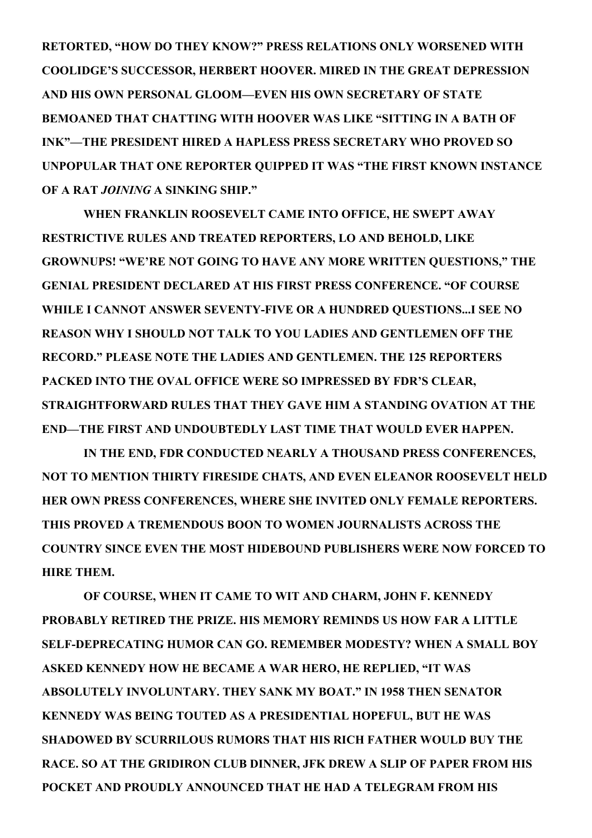**RETORTED, "HOW DO THEY KNOW?" PRESS RELATIONS ONLY WORSENED WITH COOLIDGE'S SUCCESSOR, HERBERT HOOVER. MIRED IN THE GREAT DEPRESSION AND HIS OWN PERSONAL GLOOM—EVEN HIS OWN SECRETARY OF STATE BEMOANED THAT CHATTING WITH HOOVER WAS LIKE "SITTING IN A BATH OF INK"—THE PRESIDENT HIRED A HAPLESS PRESS SECRETARY WHO PROVED SO UNPOPULAR THAT ONE REPORTER QUIPPED IT WAS "THE FIRST KNOWN INSTANCE OF A RAT** *JOINING* **A SINKING SHIP."**

 **WHEN FRANKLIN ROOSEVELT CAME INTO OFFICE, HE SWEPT AWAY RESTRICTIVE RULES AND TREATED REPORTERS, LO AND BEHOLD, LIKE GROWNUPS! "WE'RE NOT GOING TO HAVE ANY MORE WRITTEN QUESTIONS," THE GENIAL PRESIDENT DECLARED AT HIS FIRST PRESS CONFERENCE. "OF COURSE WHILE I CANNOT ANSWER SEVENTY-FIVE OR A HUNDRED QUESTIONS...I SEE NO REASON WHY I SHOULD NOT TALK TO YOU LADIES AND GENTLEMEN OFF THE RECORD." PLEASE NOTE THE LADIES AND GENTLEMEN. THE 125 REPORTERS PACKED INTO THE OVAL OFFICE WERE SO IMPRESSED BY FDR'S CLEAR, STRAIGHTFORWARD RULES THAT THEY GAVE HIM A STANDING OVATION AT THE END—THE FIRST AND UNDOUBTEDLY LAST TIME THAT WOULD EVER HAPPEN.**

 **IN THE END, FDR CONDUCTED NEARLY A THOUSAND PRESS CONFERENCES, NOT TO MENTION THIRTY FIRESIDE CHATS, AND EVEN ELEANOR ROOSEVELT HELD HER OWN PRESS CONFERENCES, WHERE SHE INVITED ONLY FEMALE REPORTERS. THIS PROVED A TREMENDOUS BOON TO WOMEN JOURNALISTS ACROSS THE COUNTRY SINCE EVEN THE MOST HIDEBOUND PUBLISHERS WERE NOW FORCED TO HIRE THEM.**

 **OF COURSE, WHEN IT CAME TO WIT AND CHARM, JOHN F. KENNEDY PROBABLY RETIRED THE PRIZE. HIS MEMORY REMINDS US HOW FAR A LITTLE SELF-DEPRECATING HUMOR CAN GO. REMEMBER MODESTY? WHEN A SMALL BOY ASKED KENNEDY HOW HE BECAME A WAR HERO, HE REPLIED, "IT WAS ABSOLUTELY INVOLUNTARY. THEY SANK MY BOAT." IN 1958 THEN SENATOR KENNEDY WAS BEING TOUTED AS A PRESIDENTIAL HOPEFUL, BUT HE WAS SHADOWED BY SCURRILOUS RUMORS THAT HIS RICH FATHER WOULD BUY THE RACE. SO AT THE GRIDIRON CLUB DINNER, JFK DREW A SLIP OF PAPER FROM HIS POCKET AND PROUDLY ANNOUNCED THAT HE HAD A TELEGRAM FROM HIS**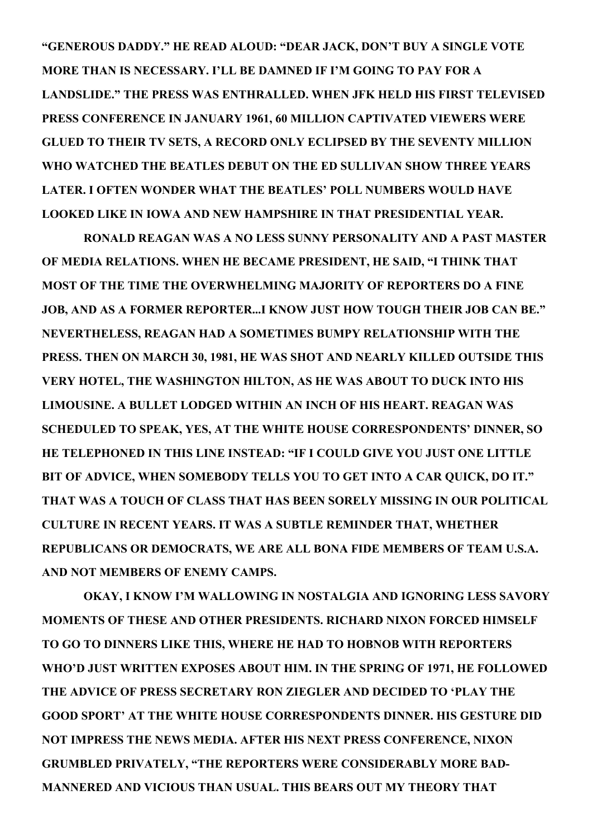**"GENEROUS DADDY." HE READ ALOUD: "DEAR JACK, DON'T BUY A SINGLE VOTE MORE THAN IS NECESSARY. I'LL BE DAMNED IF I'M GOING TO PAY FOR A LANDSLIDE." THE PRESS WAS ENTHRALLED. WHEN JFK HELD HIS FIRST TELEVISED PRESS CONFERENCE IN JANUARY 1961, 60 MILLION CAPTIVATED VIEWERS WERE GLUED TO THEIR TV SETS, A RECORD ONLY ECLIPSED BY THE SEVENTY MILLION WHO WATCHED THE BEATLES DEBUT ON THE ED SULLIVAN SHOW THREE YEARS LATER. I OFTEN WONDER WHAT THE BEATLES' POLL NUMBERS WOULD HAVE LOOKED LIKE IN IOWA AND NEW HAMPSHIRE IN THAT PRESIDENTIAL YEAR.** 

 **RONALD REAGAN WAS A NO LESS SUNNY PERSONALITY AND A PAST MASTER OF MEDIA RELATIONS. WHEN HE BECAME PRESIDENT, HE SAID, "I THINK THAT MOST OF THE TIME THE OVERWHELMING MAJORITY OF REPORTERS DO A FINE JOB, AND AS A FORMER REPORTER...I KNOW JUST HOW TOUGH THEIR JOB CAN BE." NEVERTHELESS, REAGAN HAD A SOMETIMES BUMPY RELATIONSHIP WITH THE PRESS. THEN ON MARCH 30, 1981, HE WAS SHOT AND NEARLY KILLED OUTSIDE THIS VERY HOTEL, THE WASHINGTON HILTON, AS HE WAS ABOUT TO DUCK INTO HIS LIMOUSINE. A BULLET LODGED WITHIN AN INCH OF HIS HEART. REAGAN WAS SCHEDULED TO SPEAK, YES, AT THE WHITE HOUSE CORRESPONDENTS' DINNER, SO HE TELEPHONED IN THIS LINE INSTEAD: "IF I COULD GIVE YOU JUST ONE LITTLE BIT OF ADVICE, WHEN SOMEBODY TELLS YOU TO GET INTO A CAR QUICK, DO IT." THAT WAS A TOUCH OF CLASS THAT HAS BEEN SORELY MISSING IN OUR POLITICAL CULTURE IN RECENT YEARS. IT WAS A SUBTLE REMINDER THAT, WHETHER REPUBLICANS OR DEMOCRATS, WE ARE ALL BONA FIDE MEMBERS OF TEAM U.S.A. AND NOT MEMBERS OF ENEMY CAMPS.**

 **OKAY, I KNOW I'M WALLOWING IN NOSTALGIA AND IGNORING LESS SAVORY MOMENTS OF THESE AND OTHER PRESIDENTS. RICHARD NIXON FORCED HIMSELF TO GO TO DINNERS LIKE THIS, WHERE HE HAD TO HOBNOB WITH REPORTERS WHO'D JUST WRITTEN EXPOSES ABOUT HIM. IN THE SPRING OF 1971, HE FOLLOWED THE ADVICE OF PRESS SECRETARY RON ZIEGLER AND DECIDED TO 'PLAY THE GOOD SPORT' AT THE WHITE HOUSE CORRESPONDENTS DINNER. HIS GESTURE DID NOT IMPRESS THE NEWS MEDIA. AFTER HIS NEXT PRESS CONFERENCE, NIXON GRUMBLED PRIVATELY, "THE REPORTERS WERE CONSIDERABLY MORE BAD-MANNERED AND VICIOUS THAN USUAL. THIS BEARS OUT MY THEORY THAT**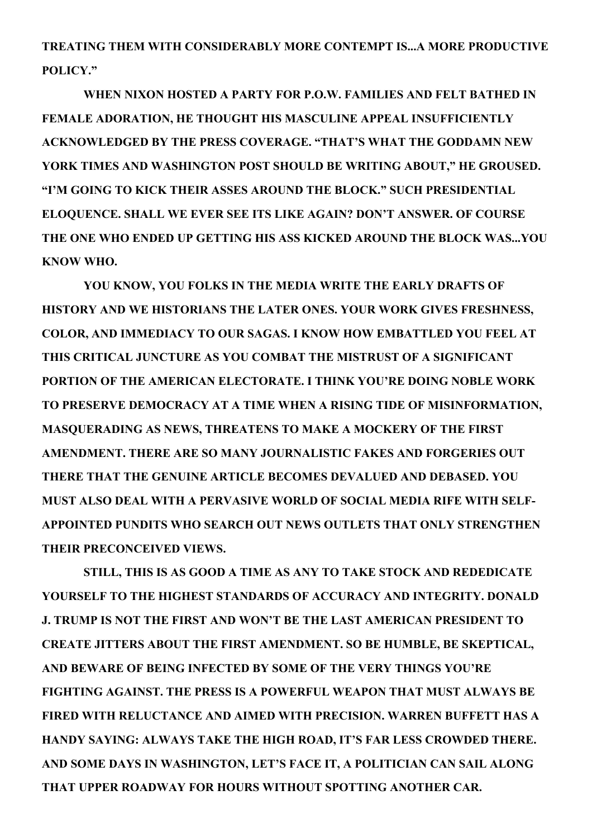**TREATING THEM WITH CONSIDERABLY MORE CONTEMPT IS...A MORE PRODUCTIVE POLICY."**

 **WHEN NIXON HOSTED A PARTY FOR P.O.W. FAMILIES AND FELT BATHED IN FEMALE ADORATION, HE THOUGHT HIS MASCULINE APPEAL INSUFFICIENTLY ACKNOWLEDGED BY THE PRESS COVERAGE. "THAT'S WHAT THE GODDAMN NEW YORK TIMES AND WASHINGTON POST SHOULD BE WRITING ABOUT," HE GROUSED. "I'M GOING TO KICK THEIR ASSES AROUND THE BLOCK." SUCH PRESIDENTIAL ELOQUENCE. SHALL WE EVER SEE ITS LIKE AGAIN? DON'T ANSWER. OF COURSE THE ONE WHO ENDED UP GETTING HIS ASS KICKED AROUND THE BLOCK WAS...YOU KNOW WHO.**

 **YOU KNOW, YOU FOLKS IN THE MEDIA WRITE THE EARLY DRAFTS OF HISTORY AND WE HISTORIANS THE LATER ONES. YOUR WORK GIVES FRESHNESS, COLOR, AND IMMEDIACY TO OUR SAGAS. I KNOW HOW EMBATTLED YOU FEEL AT THIS CRITICAL JUNCTURE AS YOU COMBAT THE MISTRUST OF A SIGNIFICANT PORTION OF THE AMERICAN ELECTORATE. I THINK YOU'RE DOING NOBLE WORK TO PRESERVE DEMOCRACY AT A TIME WHEN A RISING TIDE OF MISINFORMATION, MASQUERADING AS NEWS, THREATENS TO MAKE A MOCKERY OF THE FIRST AMENDMENT. THERE ARE SO MANY JOURNALISTIC FAKES AND FORGERIES OUT THERE THAT THE GENUINE ARTICLE BECOMES DEVALUED AND DEBASED. YOU MUST ALSO DEAL WITH A PERVASIVE WORLD OF SOCIAL MEDIA RIFE WITH SELF-APPOINTED PUNDITS WHO SEARCH OUT NEWS OUTLETS THAT ONLY STRENGTHEN THEIR PRECONCEIVED VIEWS.**

 **STILL, THIS IS AS GOOD A TIME AS ANY TO TAKE STOCK AND REDEDICATE YOURSELF TO THE HIGHEST STANDARDS OF ACCURACY AND INTEGRITY. DONALD J. TRUMP IS NOT THE FIRST AND WON'T BE THE LAST AMERICAN PRESIDENT TO CREATE JITTERS ABOUT THE FIRST AMENDMENT. SO BE HUMBLE, BE SKEPTICAL, AND BEWARE OF BEING INFECTED BY SOME OF THE VERY THINGS YOU'RE FIGHTING AGAINST. THE PRESS IS A POWERFUL WEAPON THAT MUST ALWAYS BE FIRED WITH RELUCTANCE AND AIMED WITH PRECISION. WARREN BUFFETT HAS A HANDY SAYING: ALWAYS TAKE THE HIGH ROAD, IT'S FAR LESS CROWDED THERE. AND SOME DAYS IN WASHINGTON, LET'S FACE IT, A POLITICIAN CAN SAIL ALONG THAT UPPER ROADWAY FOR HOURS WITHOUT SPOTTING ANOTHER CAR.**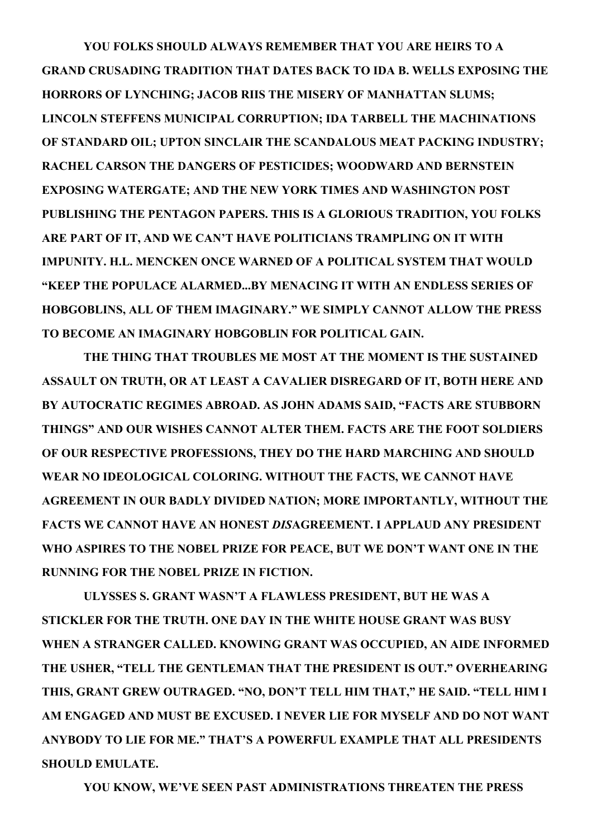**YOU FOLKS SHOULD ALWAYS REMEMBER THAT YOU ARE HEIRS TO A GRAND CRUSADING TRADITION THAT DATES BACK TO IDA B. WELLS EXPOSING THE HORRORS OF LYNCHING; JACOB RIIS THE MISERY OF MANHATTAN SLUMS; LINCOLN STEFFENS MUNICIPAL CORRUPTION; IDA TARBELL THE MACHINATIONS OF STANDARD OIL; UPTON SINCLAIR THE SCANDALOUS MEAT PACKING INDUSTRY; RACHEL CARSON THE DANGERS OF PESTICIDES; WOODWARD AND BERNSTEIN EXPOSING WATERGATE; AND THE NEW YORK TIMES AND WASHINGTON POST PUBLISHING THE PENTAGON PAPERS. THIS IS A GLORIOUS TRADITION, YOU FOLKS ARE PART OF IT, AND WE CAN'T HAVE POLITICIANS TRAMPLING ON IT WITH IMPUNITY. H.L. MENCKEN ONCE WARNED OF A POLITICAL SYSTEM THAT WOULD "KEEP THE POPULACE ALARMED...BY MENACING IT WITH AN ENDLESS SERIES OF HOBGOBLINS, ALL OF THEM IMAGINARY." WE SIMPLY CANNOT ALLOW THE PRESS TO BECOME AN IMAGINARY HOBGOBLIN FOR POLITICAL GAIN.**

 **THE THING THAT TROUBLES ME MOST AT THE MOMENT IS THE SUSTAINED ASSAULT ON TRUTH, OR AT LEAST A CAVALIER DISREGARD OF IT, BOTH HERE AND BY AUTOCRATIC REGIMES ABROAD. AS JOHN ADAMS SAID, "FACTS ARE STUBBORN THINGS" AND OUR WISHES CANNOT ALTER THEM. FACTS ARE THE FOOT SOLDIERS OF OUR RESPECTIVE PROFESSIONS, THEY DO THE HARD MARCHING AND SHOULD WEAR NO IDEOLOGICAL COLORING. WITHOUT THE FACTS, WE CANNOT HAVE AGREEMENT IN OUR BADLY DIVIDED NATION; MORE IMPORTANTLY, WITHOUT THE FACTS WE CANNOT HAVE AN HONEST** *DIS***AGREEMENT. I APPLAUD ANY PRESIDENT WHO ASPIRES TO THE NOBEL PRIZE FOR PEACE, BUT WE DON'T WANT ONE IN THE RUNNING FOR THE NOBEL PRIZE IN FICTION.**

 **ULYSSES S. GRANT WASN'T A FLAWLESS PRESIDENT, BUT HE WAS A STICKLER FOR THE TRUTH. ONE DAY IN THE WHITE HOUSE GRANT WAS BUSY WHEN A STRANGER CALLED. KNOWING GRANT WAS OCCUPIED, AN AIDE INFORMED THE USHER, "TELL THE GENTLEMAN THAT THE PRESIDENT IS OUT." OVERHEARING THIS, GRANT GREW OUTRAGED. "NO, DON'T TELL HIM THAT," HE SAID. "TELL HIM I AM ENGAGED AND MUST BE EXCUSED. I NEVER LIE FOR MYSELF AND DO NOT WANT ANYBODY TO LIE FOR ME." THAT'S A POWERFUL EXAMPLE THAT ALL PRESIDENTS SHOULD EMULATE.**

 **YOU KNOW, WE'VE SEEN PAST ADMINISTRATIONS THREATEN THE PRESS**